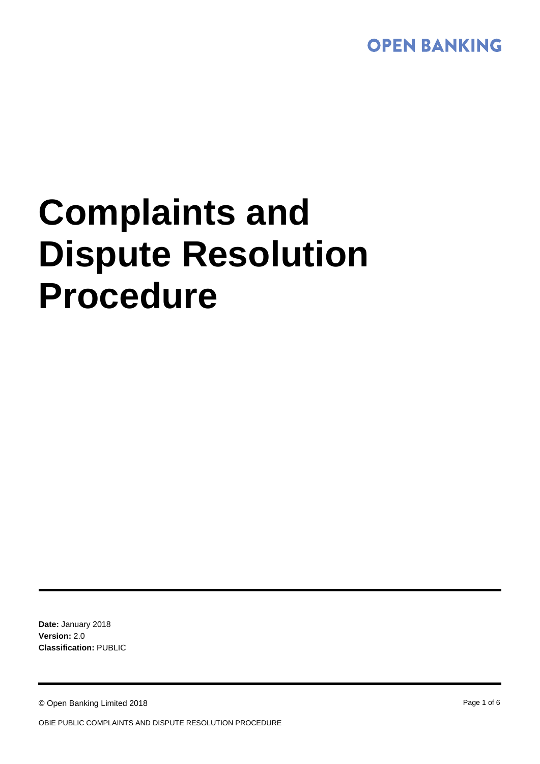

# **Complaints and Dispute Resolution Procedure**

**Date:** January 2018 **Version:** 2.0 **Classification:** PUBLIC

© Open Banking Limited 2018 **Page 1 of 6** Page 1 of 6

OBIE PUBLIC COMPLAINTS AND DISPUTE RESOLUTION PROCEDURE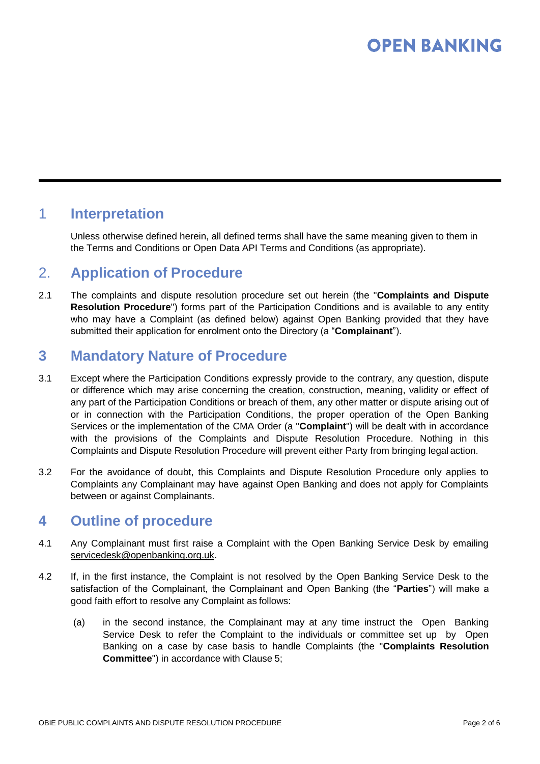# **OPEN BANKING**

# 1 **Interpretation**

Unless otherwise defined herein, all defined terms shall have the same meaning given to them in the Terms and Conditions or Open Data API Terms and Conditions (as appropriate).

### 2. **Application of Procedure**

2.1 The complaints and dispute resolution procedure set out herein (the "**Complaints and Dispute Resolution Procedure**") forms part of the Participation Conditions and is available to any entity who may have a Complaint (as defined below) against Open Banking provided that they have submitted their application for enrolment onto the Directory (a "**Complainant**").

# **3 Mandatory Nature of Procedure**

- 3.1 Except where the Participation Conditions expressly provide to the contrary, any question, dispute or difference which may arise concerning the creation, construction, meaning, validity or effect of any part of the Participation Conditions or breach of them, any other matter or dispute arising out of or in connection with the Participation Conditions, the proper operation of the Open Banking Services or the implementation of the CMA Order (a "**Complaint**") will be dealt with in accordance with the provisions of the Complaints and Dispute Resolution Procedure. Nothing in this Complaints and Dispute Resolution Procedure will prevent either Party from bringing legal action.
- 3.2 For the avoidance of doubt, this Complaints and Dispute Resolution Procedure only applies to Complaints any Complainant may have against Open Banking and does not apply for Complaints between or against Complainants.

# **4 Outline of procedure**

- 4.1 Any Complainant must first raise a Complaint with the Open Banking Service Desk by emailing [servicedesk@openbanking.org.uk.](mailto:servicedesk@openbanking.org.uk)
- 4.2 If, in the first instance, the Complaint is not resolved by the Open Banking Service Desk to the satisfaction of the Complainant, the Complainant and Open Banking (the "**Parties**") will make a good faith effort to resolve any Complaint as follows:
	- (a) in the second instance, the Complainant may at any time instruct the Open Banking Service Desk to refer the Complaint to the individuals or committee set up by Open Banking on a case by case basis to handle Complaints (the "**Complaints Resolution Committee**") in accordance with Clause 5;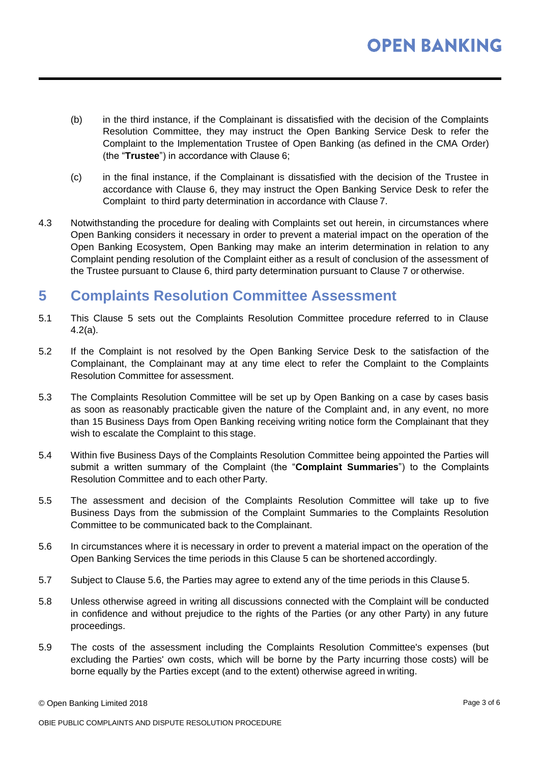- (b) in the third instance, if the Complainant is dissatisfied with the decision of the Complaints Resolution Committee, they may instruct the Open Banking Service Desk to refer the Complaint to the Implementation Trustee of Open Banking (as defined in the CMA Order) (the "**Trustee**") in accordance with Clause 6;
- (c) in the final instance, if the Complainant is dissatisfied with the decision of the Trustee in accordance with Clause 6, they may instruct the Open Banking Service Desk to refer the Complaint to third party determination in accordance with Clause 7.
- 4.3 Notwithstanding the procedure for dealing with Complaints set out herein, in circumstances where Open Banking considers it necessary in order to prevent a material impact on the operation of the Open Banking Ecosystem, Open Banking may make an interim determination in relation to any Complaint pending resolution of the Complaint either as a result of conclusion of the assessment of the Trustee pursuant to Clause 6, third party determination pursuant to Clause 7 or otherwise.

# **5 Complaints Resolution Committee Assessment**

- 5.1 This Clause 5 sets out the Complaints Resolution Committee procedure referred to in Clause 4.2(a).
- 5.2 If the Complaint is not resolved by the Open Banking Service Desk to the satisfaction of the Complainant, the Complainant may at any time elect to refer the Complaint to the Complaints Resolution Committee for assessment.
- 5.3 The Complaints Resolution Committee will be set up by Open Banking on a case by cases basis as soon as reasonably practicable given the nature of the Complaint and, in any event, no more than 15 Business Days from Open Banking receiving writing notice form the Complainant that they wish to escalate the Complaint to this stage.
- 5.4 Within five Business Days of the Complaints Resolution Committee being appointed the Parties will submit a written summary of the Complaint (the "**Complaint Summaries**") to the Complaints Resolution Committee and to each other Party.
- 5.5 The assessment and decision of the Complaints Resolution Committee will take up to five Business Days from the submission of the Complaint Summaries to the Complaints Resolution Committee to be communicated back to the Complainant.
- 5.6 In circumstances where it is necessary in order to prevent a material impact on the operation of the Open Banking Services the time periods in this Clause 5 can be shortened accordingly.
- 5.7 Subject to Clause 5.6, the Parties may agree to extend any of the time periods in this Clause 5.
- 5.8 Unless otherwise agreed in writing all discussions connected with the Complaint will be conducted in confidence and without prejudice to the rights of the Parties (or any other Party) in any future proceedings.
- 5.9 The costs of the assessment including the Complaints Resolution Committee's expenses (but excluding the Parties' own costs, which will be borne by the Party incurring those costs) will be borne equally by the Parties except (and to the extent) otherwise agreed in writing.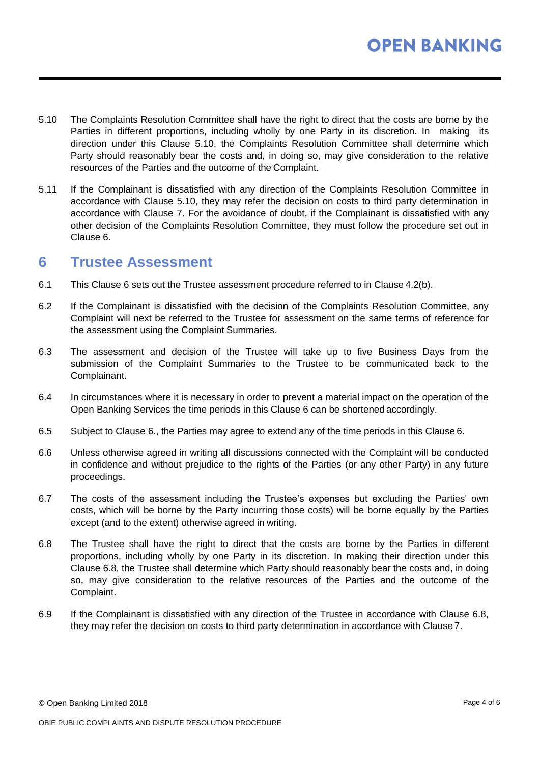- 5.10 The Complaints Resolution Committee shall have the right to direct that the costs are borne by the Parties in different proportions, including wholly by one Party in its discretion. In making its direction under this Clause 5.10, the Complaints Resolution Committee shall determine which Party should reasonably bear the costs and, in doing so, may give consideration to the relative resources of the Parties and the outcome of the Complaint.
- 5.11 If the Complainant is dissatisfied with any direction of the Complaints Resolution Committee in accordance with Clause 5.10, they may refer the decision on costs to third party determination in accordance with Clause 7. For the avoidance of doubt, if the Complainant is dissatisfied with any other decision of the Complaints Resolution Committee, they must follow the procedure set out in Clause 6.

#### **6 Trustee Assessment**

- 6.1 This Clause 6 sets out the Trustee assessment procedure referred to in Clause 4.2(b).
- 6.2 If the Complainant is dissatisfied with the decision of the Complaints Resolution Committee, any Complaint will next be referred to the Trustee for assessment on the same terms of reference for the assessment using the Complaint Summaries.
- 6.3 The assessment and decision of the Trustee will take up to five Business Days from the submission of the Complaint Summaries to the Trustee to be communicated back to the Complainant.
- 6.4 In circumstances where it is necessary in order to prevent a material impact on the operation of the Open Banking Services the time periods in this Clause 6 can be shortened accordingly.
- 6.5 Subject to Clause 6., the Parties may agree to extend any of the time periods in this Clause 6.
- 6.6 Unless otherwise agreed in writing all discussions connected with the Complaint will be conducted in confidence and without prejudice to the rights of the Parties (or any other Party) in any future proceedings.
- 6.7 The costs of the assessment including the Trustee's expenses but excluding the Parties' own costs, which will be borne by the Party incurring those costs) will be borne equally by the Parties except (and to the extent) otherwise agreed in writing.
- 6.8 The Trustee shall have the right to direct that the costs are borne by the Parties in different proportions, including wholly by one Party in its discretion. In making their direction under this Clause 6.8, the Trustee shall determine which Party should reasonably bear the costs and, in doing so, may give consideration to the relative resources of the Parties and the outcome of the Complaint.
- 6.9 If the Complainant is dissatisfied with any direction of the Trustee in accordance with Clause 6.8, they may refer the decision on costs to third party determination in accordance with Clause 7.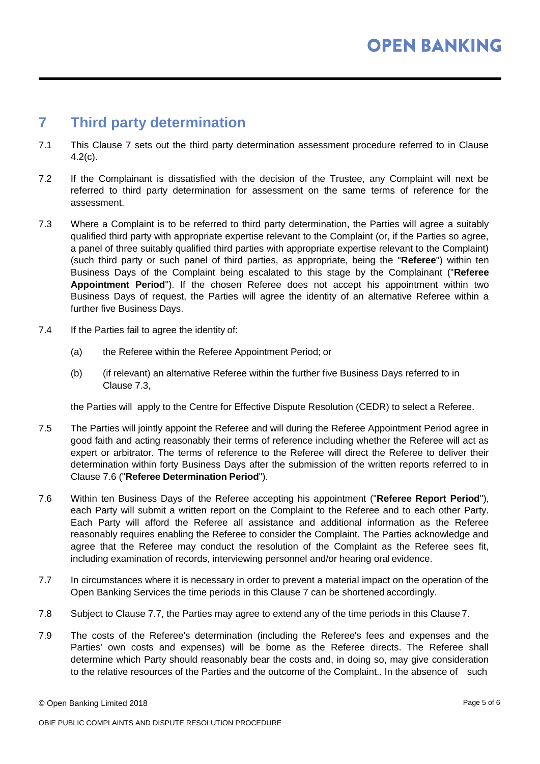# **7 Third party determination**

- 7.1 This Clause 7 sets out the third party determination assessment procedure referred to in Clause 4.2(c).
- 7.2 If the Complainant is dissatisfied with the decision of the Trustee, any Complaint will next be referred to third party determination for assessment on the same terms of reference for the assessment.
- 7.3 Where a Complaint is to be referred to third party determination, the Parties will agree a suitably qualified third party with appropriate expertise relevant to the Complaint (or, if the Parties so agree, a panel of three suitably qualified third parties with appropriate expertise relevant to the Complaint) (such third party or such panel of third parties, as appropriate, being the "**Referee**") within ten Business Days of the Complaint being escalated to this stage by the Complainant ("**Referee Appointment Period**"). If the chosen Referee does not accept his appointment within two Business Days of request, the Parties will agree the identity of an alternative Referee within a further five Business Days.
- 7.4 If the Parties fail to agree the identity of:
	- (a) the Referee within the Referee Appointment Period; or
	- (b) (if relevant) an alternative Referee within the further five Business Days referred to in Clause 7.3,

the Parties will apply to the Centre for Effective Dispute Resolution (CEDR) to select a Referee.

- 7.5 The Parties will jointly appoint the Referee and will during the Referee Appointment Period agree in good faith and acting reasonably their terms of reference including whether the Referee will act as expert or arbitrator. The terms of reference to the Referee will direct the Referee to deliver their determination within forty Business Days after the submission of the written reports referred to in Clause 7.6 ("**Referee Determination Period**").
- 7.6 Within ten Business Days of the Referee accepting his appointment ("**Referee Report Period**"), each Party will submit a written report on the Complaint to the Referee and to each other Party. Each Party will afford the Referee all assistance and additional information as the Referee reasonably requires enabling the Referee to consider the Complaint. The Parties acknowledge and agree that the Referee may conduct the resolution of the Complaint as the Referee sees fit, including examination of records, interviewing personnel and/or hearing oral evidence.
- 7.7 In circumstances where it is necessary in order to prevent a material impact on the operation of the Open Banking Services the time periods in this Clause 7 can be shortened accordingly.
- 7.8 Subject to Clause 7.7, the Parties may agree to extend any of the time periods in this Clause 7.
- 7.9 The costs of the Referee's determination (including the Referee's fees and expenses and the Parties' own costs and expenses) will be borne as the Referee directs. The Referee shall determine which Party should reasonably bear the costs and, in doing so, may give consideration to the relative resources of the Parties and the outcome of the Complaint.. In the absence of such